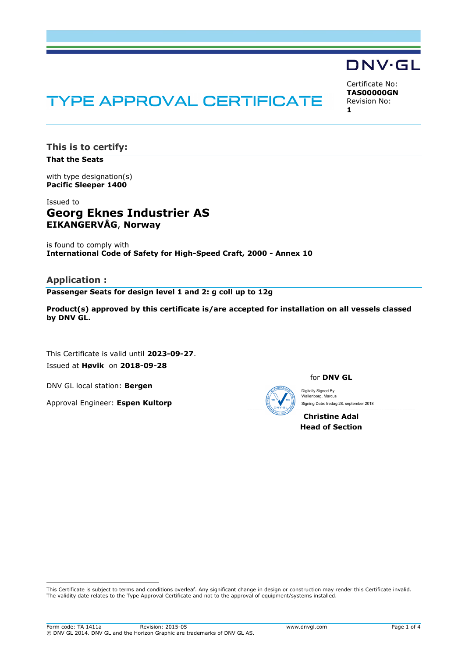# **TYPE APPROVAL CERTIFICATE**

Certificate No: **TAS00000GN** Revision No: **1**

DNV·GL

**This is to certify:**

**That the Seats**

with type designation(s) **Pacific Sleeper 1400**

## Issued to **Georg Eknes Industrier AS EIKANGERVÅG**, **Norway**

is found to comply with **International Code of Safety for High-Speed Craft, 2000 - Annex 10**

## **Application :**

**Passenger Seats for design level 1 and 2: g coll up to 12g**

**Product(s) approved by this certificate is/are accepted for installation on all vessels classed by DNV GL.**

This Certificate is valid until **2023-09-27**. Issued at **Høvik** on **2018-09-28**

DNV GL local station: **Bergen**

Approval Engineer: **Espen Kultorp**

for **DNV GL**

Digitally Signed By: Wallenborg, Marcus Signing Date: fredag 28. september 2018

**Christine Adal Head of Section**

 This Certificate is subject to terms and conditions overleaf. Any significant change in design or construction may render this Certificate invalid. The validity date relates to the Type Approval Certificate and not to the approval of equipment/systems installed.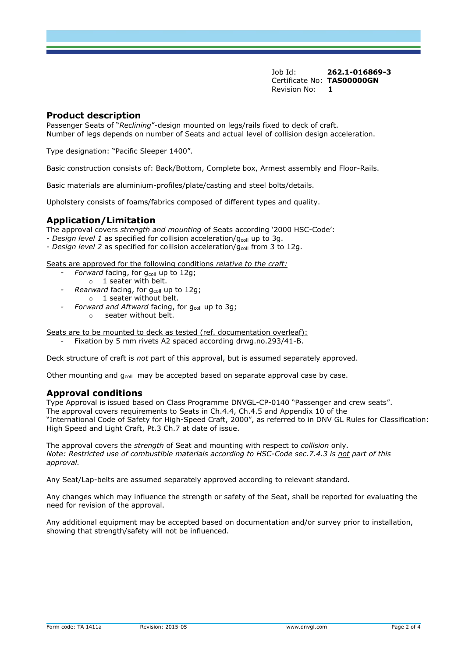Job Id: **262.1-016869-3** Certificate No: **TAS00000GN** Revision No: **1**

## **Product description**

Passenger Seats of "*Reclining*"-design mounted on legs/rails fixed to deck of craft. Number of legs depends on number of Seats and actual level of collision design acceleration.

Type designation: "Pacific Sleeper 1400".

Basic construction consists of: Back/Bottom, Complete box, Armest assembly and Floor-Rails.

Basic materials are aluminium-profiles/plate/casting and steel bolts/details.

Upholstery consists of foams/fabrics composed of different types and quality.

## **Application/Limitation**

The approval covers *strength and mounting* of Seats according '2000 HSC-Code':

- *Design level 1* as specified for collision acceleration/g<sub>coll</sub> up to 3g.
- *Design level 2* as specified for collision acceleration/g<sub>coll</sub> from 3 to 12g.

Seats are approved for the following conditions *relative to the craft:* 

- *- Forward* facing, for g<sub>coll</sub> up to 12g;
	- $\circ$  1 seater with belt.
- *Rearward* facing, for g<sub>coll</sub> up to 12g; o 1 seater without belt.
- *Forward and Aftward* facing, for g<sub>coll</sub> up to 3g;
	- o seater without belt.

Seats are to be mounted to deck as tested (ref. documentation overleaf):

*-* Fixation by 5 mm rivets A2 spaced according drwg.no.293/41-B.

Deck structure of craft is *not* part of this approval, but is assumed separately approved.

Other mounting and  $q_{coll}$  may be accepted based on separate approval case by case.

#### **Approval conditions**

Type Approval is issued based on Class Programme DNVGL-CP-0140 "Passenger and crew seats". The approval covers requirements to Seats in Ch.4.4, Ch.4.5 and Appendix 10 of the "International Code of Safety for High-Speed Craft, 2000", as referred to in DNV GL Rules for Classification: High Speed and Light Craft, Pt.3 Ch.7 at date of issue.

The approval covers the *strength* of Seat and mounting with respect to *collision* only. *Note: Restricted use of combustible materials according to HSC-Code sec.7.4.3 is not part of this approval.*

Any Seat/Lap-belts are assumed separately approved according to relevant standard.

Any changes which may influence the strength or safety of the Seat, shall be reported for evaluating the need for revision of the approval.

Any additional equipment may be accepted based on documentation and/or survey prior to installation, showing that strength/safety will not be influenced.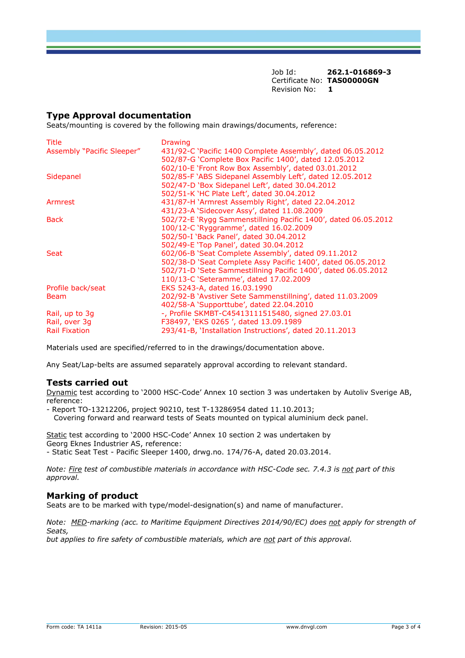Job Id: **262.1-016869-3** Certificate No: **TAS00000GN** Revision No: **1**

## **Type Approval documentation**

Seats/mounting is covered by the following main drawings/documents, reference:

| Title                      | <b>Drawing</b>                                                 |
|----------------------------|----------------------------------------------------------------|
| Assembly "Pacific Sleeper" | 431/92-C 'Pacific 1400 Complete Assembly', dated 06.05.2012    |
|                            | 502/87-G 'Complete Box Pacific 1400', dated 12.05.2012         |
|                            | 602/10-E 'Front Row Box Assembly', dated 03.01.2012            |
| Sidepanel                  | 502/85-F `ABS Sidepanel Assembly Left', dated 12.05.2012       |
|                            | 502/47-D 'Box Sidepanel Left', dated 30.04.2012                |
|                            | 502/51-K `HC Plate Left', dated 30.04.2012                     |
| Armrest                    | 431/87-H 'Armrest Assembly Right', dated 22.04.2012            |
|                            | 431/23-A 'Sidecover Assy', dated 11.08.2009                    |
| <b>Back</b>                | 502/72-E `Rygg Sammenstillning Pacific 1400', dated 06.05.2012 |
|                            | 100/12-C 'Ryggramme', dated 16.02.2009                         |
|                            | 502/50-I 'Back Panel', dated 30.04.2012                        |
|                            | 502/49-E 'Top Panel', dated 30.04.2012                         |
| <b>Seat</b>                | 602/06-B 'Seat Complete Assembly', dated 09.11.2012            |
|                            | 502/38-D 'Seat Complete Assy Pacific 1400', dated 06.05.2012   |
|                            | 502/71-D 'Sete Sammestillning Pacific 1400', dated 06.05.2012  |
|                            | 110/13-C 'Seteramme', dated 17.02.2009                         |
| Profile back/seat          | EKS 5243-A, dated 16.03.1990                                   |
| <b>Beam</b>                | 202/92-B 'Avstiver Sete Sammenstillning', dated 11.03.2009     |
|                            | 402/58-A 'Supporttube', dated 22.04.2010                       |
| Rail, up to 3q             | -, Profile SKMBT-C45413111515480, signed 27.03.01              |
| Rail, over 3g              | F38497, 'EKS 0265', dated 13.09.1989                           |
| <b>Rail Fixation</b>       | 293/41-B, 'Installation Instructions', dated 20.11.2013        |

Materials used are specified/referred to in the drawings/documentation above.

Any Seat/Lap-belts are assumed separately approval according to relevant standard.

#### **Tests carried out**

Dynamic test according to '2000 HSC-Code' Annex 10 section 3 was undertaken by Autoliv Sverige AB, reference:

- Report TO-13212206, project 90210, test T-13286954 dated 11.10.2013;
- Covering forward and rearward tests of Seats mounted on typical aluminium deck panel.

Static test according to '2000 HSC-Code' Annex 10 section 2 was undertaken by Georg Eknes Industrier AS, reference: - Static Seat Test - Pacific Sleeper 1400, drwg.no. 174/76-A, dated 20.03.2014.

*Note: Fire test of combustible materials in accordance with HSC-Code sec. 7.4.3 is not part of this approval.*

## **Marking of product**

Seats are to be marked with type/model-designation(s) and name of manufacturer.

*Note: MED-marking (acc. to Maritime Equipment Directives 2014/90/EC) does not apply for strength of Seats, but applies to fire safety of combustible materials, which are not part of this approval.*